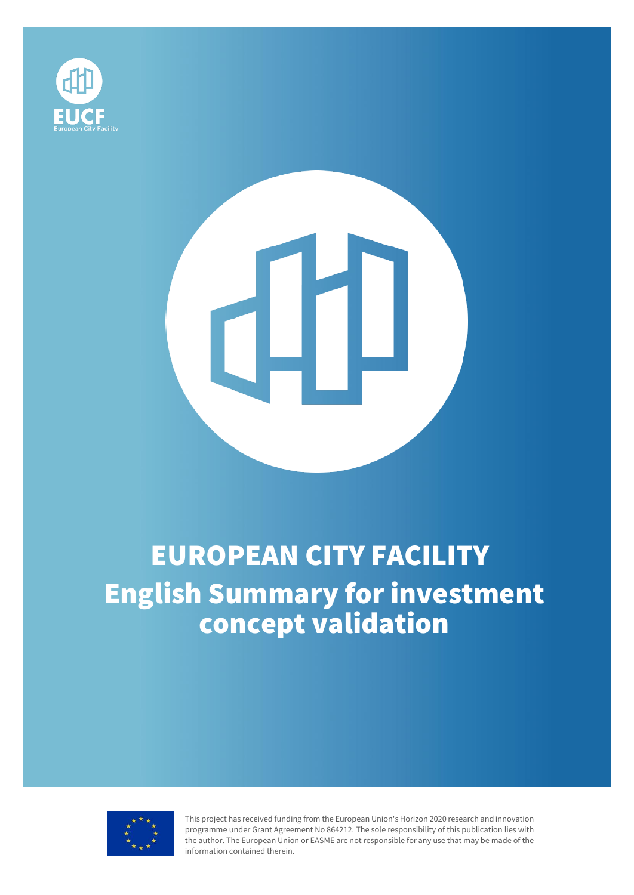

# Ш

# EUROPEAN CITY FACILITY English Summary for investment concept validation



This project has received funding from the European Union's Horizon 2020 research and innovation programme under Grant Agreement No 864212. The sole responsibility of this publication lies with the author. The European Union or EASME are not responsible for any use that may be made of the information contained therein.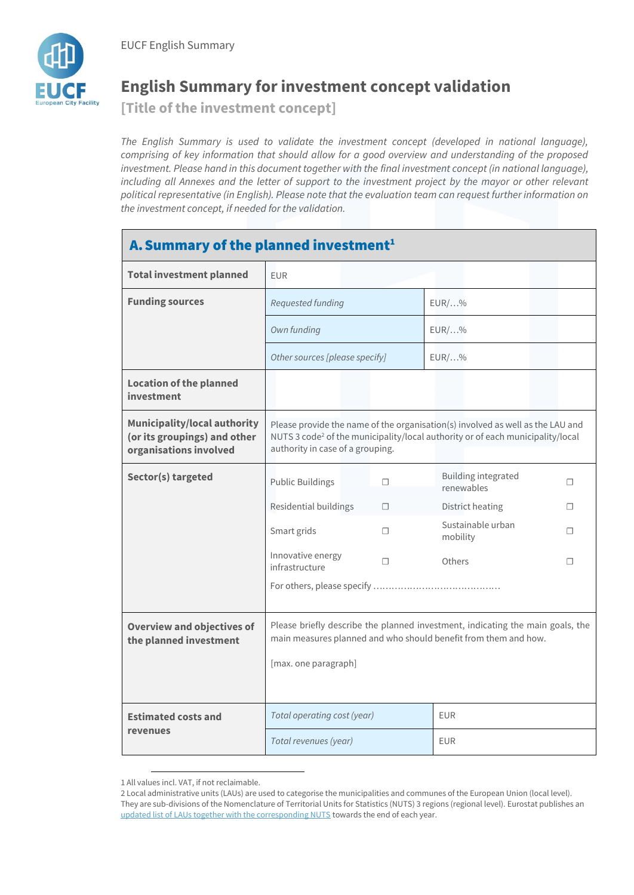

## **English Summary for investment concept validation**

**[Title of the investment concept]**

The English Summary is used to validate the investment concept (developed in national language), *comprising of key information that should allow for a good overview and understanding of the proposed investment. Please hand in this document together with the final investment concept (in national language), including all Annexes and the letter of support to the investment project by the mayor or other relevant political representative (in English). Please note that the evaluation team can request further information on the investment concept, if needed for the validation.*

### A. Summary of the planned investment<sup>1</sup>

| <b>Total investment planned</b>                                                               | <b>EUR</b>                                                                                                                                                                                                       |    |                                   |   |
|-----------------------------------------------------------------------------------------------|------------------------------------------------------------------------------------------------------------------------------------------------------------------------------------------------------------------|----|-----------------------------------|---|
| <b>Funding sources</b>                                                                        | Requested funding                                                                                                                                                                                                |    | $EUR/$ %                          |   |
|                                                                                               | Own funding                                                                                                                                                                                                      |    | $EUR/$ %                          |   |
|                                                                                               | Other sources [please specify]                                                                                                                                                                                   |    | $EUR/$ %                          |   |
| <b>Location of the planned</b><br>investment                                                  |                                                                                                                                                                                                                  |    |                                   |   |
| <b>Municipality/local authority</b><br>(or its groupings) and other<br>organisations involved | Please provide the name of the organisation(s) involved as well as the LAU and<br>NUTS 3 code <sup>2</sup> of the municipality/local authority or of each municipality/local<br>authority in case of a grouping. |    |                                   |   |
| Sector(s) targeted                                                                            | <b>Public Buildings</b>                                                                                                                                                                                          | П  | Building integrated<br>renewables | П |
|                                                                                               | Residential buildings                                                                                                                                                                                            | П. | District heating                  | п |
|                                                                                               | Smart grids                                                                                                                                                                                                      | П. | Sustainable urban<br>mobility     | п |
|                                                                                               | Innovative energy<br>infrastructure                                                                                                                                                                              | П  | Others                            | П |
|                                                                                               |                                                                                                                                                                                                                  |    |                                   |   |
| <b>Overview and objectives of</b><br>the planned investment                                   | Please briefly describe the planned investment, indicating the main goals, the<br>main measures planned and who should benefit from them and how.<br>[max. one paragraph]                                        |    |                                   |   |
| <b>Estimated costs and</b><br>revenues                                                        | Total operating cost (year)                                                                                                                                                                                      |    | <b>EUR</b>                        |   |
|                                                                                               | Total revenues (year)                                                                                                                                                                                            |    | <b>EUR</b>                        |   |

<sup>1</sup> All values incl. VAT, if not reclaimable.

l

<sup>2</sup> Local administrative units (LAUs) are used to categorise the municipalities and communes of the European Union (local level). They are sub-divisions of the Nomenclature of Territorial Units for Statistics (NUTS) 3 regions (regional level). Eurostat publishes an [updated list of LAUs together with the corresponding NUTS](https://ec.europa.eu/eurostat/web/nuts/local-administrative-units) towards the end of each year.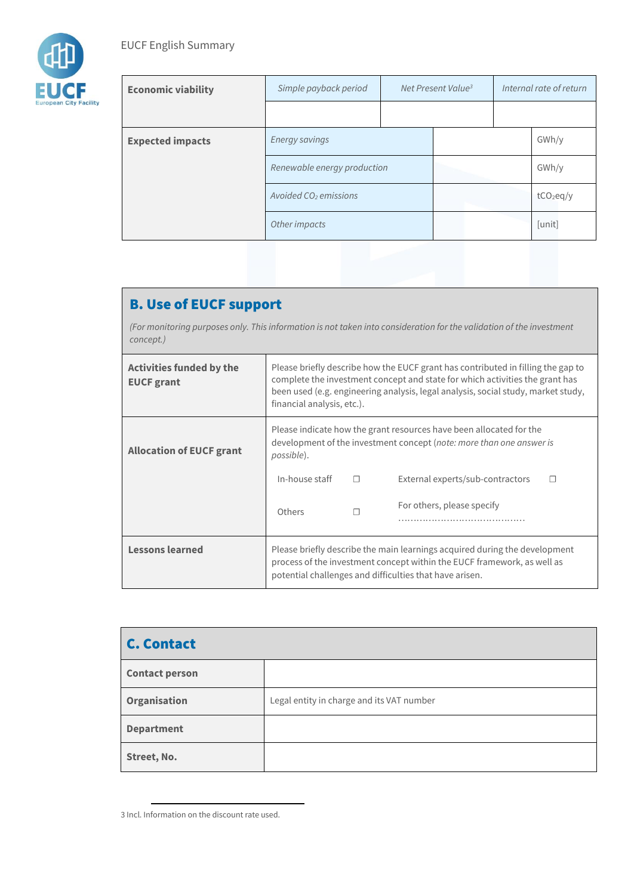

| <b>Economic viability</b> | Simple payback period             | Net Present Value <sup>3</sup> |  | Internal rate of return |              |
|---------------------------|-----------------------------------|--------------------------------|--|-------------------------|--------------|
|                           |                                   |                                |  |                         |              |
| <b>Expected impacts</b>   | <b>Energy savings</b>             |                                |  |                         | GWh/y        |
|                           | Renewable energy production       |                                |  |                         | GWh/y        |
|                           | Avoided CO <sub>2</sub> emissions |                                |  |                         | $tCO_2$ eg/y |
|                           | Other impacts                     |                                |  |                         | [unit]       |

### B. Use of EUCF support

*(For monitoring purposes only. This information is not taken into consideration for the validation of the investment concept.)*

| <b>Activities funded by the</b><br><b>EUCF</b> grant | Please briefly describe how the EUCF grant has contributed in filling the gap to<br>complete the investment concept and state for which activities the grant has<br>been used (e.g. engineering analysis, legal analysis, social study, market study,<br>financial analysis, etc.). |        |                                       |
|------------------------------------------------------|-------------------------------------------------------------------------------------------------------------------------------------------------------------------------------------------------------------------------------------------------------------------------------------|--------|---------------------------------------|
| <b>Allocation of EUCF grant</b>                      | Please indicate how the grant resources have been allocated for the<br>development of the investment concept (note: more than one answer is<br>possible).                                                                                                                           |        |                                       |
|                                                      | In-house staff                                                                                                                                                                                                                                                                      | $\Box$ | External experts/sub-contractors<br>П |
|                                                      | Others                                                                                                                                                                                                                                                                              |        | For others, please specify            |
| <b>Lessons learned</b>                               | Please briefly describe the main learnings acquired during the development<br>process of the investment concept within the EUCF framework, as well as<br>potential challenges and difficulties that have arisen.                                                                    |        |                                       |

| <b>C. Contact</b>     |                                           |
|-----------------------|-------------------------------------------|
| <b>Contact person</b> |                                           |
| Organisation          | Legal entity in charge and its VAT number |
| <b>Department</b>     |                                           |
| Street, No.           |                                           |

<sup>3</sup> Incl. Information on the discount rate used.

l